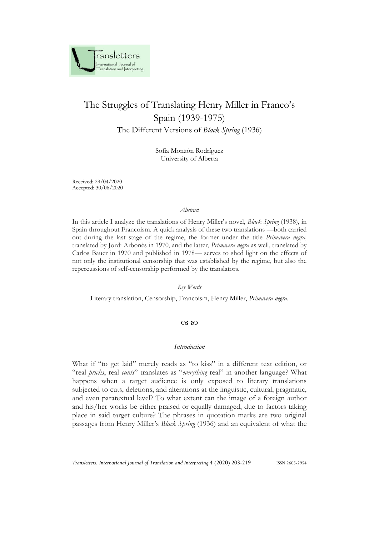

# The Struggles of Translating Henry Miller in Franco's Spain (1939-1975) The Different Versions of *Black Spring* (1936)

Sofía Monzón Rodríguez University of Alberta

Received: 29/04/2020 Accepted: 30/06/2020

#### *Abstract*

In this article I analyze the translations of Henry Miller's novel, *Black Spring* (1938), in Spain throughout Francoism. A quick analysis of these two translations —both carried out during the last stage of the regime, the former under the title *Primavera negra,*  translated by Jordi Arbonès in 1970, and the latter, *Primavera negra* as well, translated by Carlos Bauer in 1970 and published in 1978— serves to shed light on the effects of not only the institutional censorship that was established by the regime, but also the repercussions of self-censorship performed by the translators.

*Key Words*

Literary translation, Censorship, Francoism, Henry Miller, *Primavera negra*.

## $CZ$   $RQ$

## *Introduction*

What if "to get laid" merely reads as "to kiss" in a different text edition, or "real *pricks*, real *cunts*" translates as "*everything* real" in another language? What happens when a target audience is only exposed to literary translations subjected to cuts, deletions, and alterations at the linguistic, cultural, pragmatic, and even paratextual level? To what extent can the image of a foreign author and his/her works be either praised or equally damaged, due to factors taking place in said target culture? The phrases in quotation marks are two original passages from Henry Miller's *Black Spring* (1936) and an equivalent of what the

*Transletters. International Journal of Translation and Interpreting* 4 (2020) 203-219 ISSN 2605-2954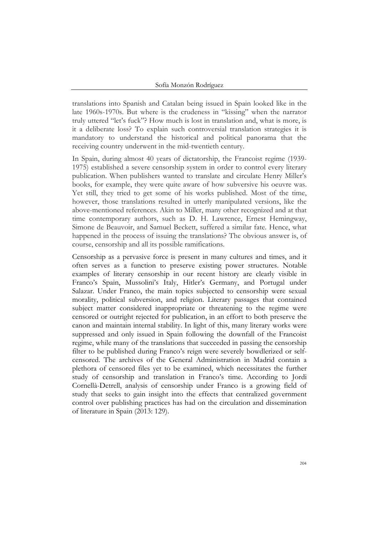translations into Spanish and Catalan being issued in Spain looked like in the late 1960s-1970s. But where is the crudeness in "kissing" when the narrator truly uttered "let's fuck"? How much is lost in translation and, what is more, is it a deliberate loss? To explain such controversial translation strategies it is mandatory to understand the historical and political panorama that the receiving country underwent in the mid-twentieth century.

In Spain, during almost 40 years of dictatorship, the Francoist regime (1939- 1975) established a severe censorship system in order to control every literary publication. When publishers wanted to translate and circulate Henry Miller's books, for example, they were quite aware of how subversive his oeuvre was. Yet still, they tried to get some of his works published. Most of the time, however, those translations resulted in utterly manipulated versions, like the above-mentioned references. Akin to Miller, many other recognized and at that time contemporary authors, such as D. H. Lawrence, Ernest Hemingway, Simone de Beauvoir, and Samuel Beckett, suffered a similar fate*.* Hence, what happened in the process of issuing the translations? The obvious answer is, of course, censorship and all its possible ramifications.

Censorship as a pervasive force is present in many cultures and times, and it often serves as a function to preserve existing power structures. Notable examples of literary censorship in our recent history are clearly visible in Franco's Spain, Mussolini's Italy, Hitler's Germany, and Portugal under Salazar. Under Franco, the main topics subjected to censorship were sexual morality, political subversion, and religion. Literary passages that contained subject matter considered inappropriate or threatening to the regime were censored or outright rejected for publication, in an effort to both preserve the canon and maintain internal stability. In light of this, many literary works were suppressed and only issued in Spain following the downfall of the Francoist regime, while many of the translations that succeeded in passing the censorship filter to be published during Franco's reign were severely bowdlerized or selfcensored. The archives of the General Administration in Madrid contain a plethora of censored files yet to be examined, which necessitates the further study of censorship and translation in Franco's time. According to Jordi Cornellà-Detrell, analysis of censorship under Franco is a growing field of study that seeks to gain insight into the effects that centralized government control over publishing practices has had on the circulation and dissemination of literature in Spain (2013: 129).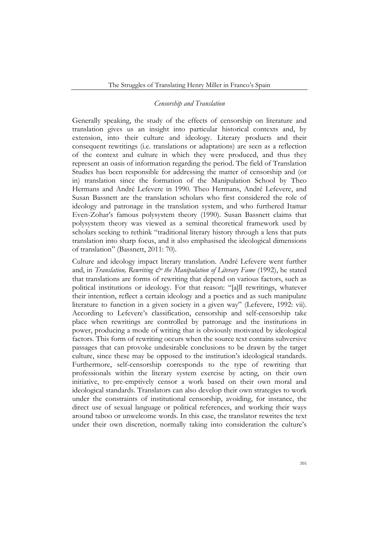## *Censorship and Translation*

Generally speaking, the study of the effects of censorship on literature and translation gives us an insight into particular historical contexts and, by extension, into their culture and ideology. Literary products and their consequent rewritings (i.e. translations or adaptations) are seen as a reflection of the context and culture in which they were produced, and thus they represent an oasis of information regarding the period. The field of Translation Studies has been responsible for addressing the matter of censorship and (or in) translation since the formation of the Manipulation School by Theo Hermans and André Lefevere in 1990. Theo Hermans, André Lefevere, and Susan Bassnett are the translation scholars who first considered the role of ideology and patronage in the translation system, and who furthered Itamar Even-Zohar's famous polysystem theory (1990). Susan Bassnett claims that polysystem theory was viewed as a seminal theoretical framework used by scholars seeking to rethink "traditional literary history through a lens that puts translation into sharp focus, and it also emphasised the ideological dimensions of translation" (Bassnett, 2011: 70).

Culture and ideology impact literary translation. André Lefevere went further and, in *Translation*, Rewriting  $\acute{\phi}$  the Manipulation of Literary Fame (1992), he stated that translations are forms of rewriting that depend on various factors, such as political institutions or ideology. For that reason: "[a]ll rewritings, whatever their intention, reflect a certain ideology and a poetics and as such manipulate literature to function in a given society in a given way" (Lefevere, 1992: vii). According to Lefevere's classification, censorship and self-censorship take place when rewritings are controlled by patronage and the institutions in power, producing a mode of writing that is obviously motivated by ideological factors. This form of rewriting occurs when the source text contains subversive passages that can provoke undesirable conclusions to be drawn by the target culture, since these may be opposed to the institution's ideological standards. Furthermore, self-censorship corresponds to the type of rewriting that professionals within the literary system exercise by acting, on their own initiative, to pre-emptively censor a work based on their own moral and ideological standards. Translators can also develop their own strategies to work under the constraints of institutional censorship, avoiding, for instance, the direct use of sexual language or political references, and working their ways around taboo or unwelcome words. In this case, the translator rewrites the text under their own discretion, normally taking into consideration the culture's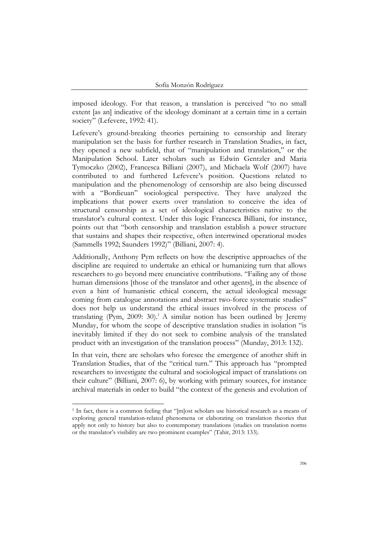imposed ideology. For that reason, a translation is perceived "to no small extent [as an] indicative of the ideology dominant at a certain time in a certain society" (Lefevere, 1992: 41).

Lefevere's ground-breaking theories pertaining to censorship and literary manipulation set the basis for further research in Translation Studies, in fact, they opened a new subfield, that of "manipulation and translation," or the Manipulation School. Later scholars such as Edwin Gentzler and Maria Tymoczko (2002), Francesca Billiani (2007), and Michaela Wolf (2007) have contributed to and furthered Lefevere's position. Questions related to manipulation and the phenomenology of censorship are also being discussed with a "Bordieuan" sociological perspective. They have analyzed the implications that power exerts over translation to conceive the idea of structural censorship as a set of ideological characteristics native to the translator's cultural context. Under this logic Francesca Billiani, for instance, points out that "both censorship and translation establish a power structure that sustains and shapes their respective, often intertwined operational modes (Sammells 1992; Saunders 1992)" (Billiani, 2007: 4).

Additionally, Anthony Pym reflects on how the descriptive approaches of the discipline are required to undertake an ethical or humanizing turn that allows researchers to go beyond mere enunciative contributions. "Failing any of those human dimensions [those of the translator and other agents], in the absence of even a hint of humanistic ethical concern, the actual ideological message coming from catalogue annotations and abstract two-force systematic studies" does not help us understand the ethical issues involved in the process of translating (Pym, 2009: 30).<sup>1</sup> A similar notion has been outlined by Jeremy Munday, for whom the scope of descriptive translation studies in isolation "is inevitably limited if they do not seek to combine analysis of the translated product with an investigation of the translation process" (Munday, 2013: 132).

In that vein, there are scholars who foresee the emergence of another shift in Translation Studies, that of the "critical turn." This approach has "prompted researchers to investigate the cultural and sociological impact of translations on their culture" (Billiani, 2007: 6), by working with primary sources, for instance archival materials in order to build "the context of the genesis and evolution of

<sup>1</sup> In fact, there is a common feeling that "[m]ost scholars use historical research as a means of exploring general translation-related phenomena or elaborating on translation theories that apply not only to history but also to contemporary translations (studies on translation norms or the translator's visibility are two prominent examples" (Tahir, 2013: 133).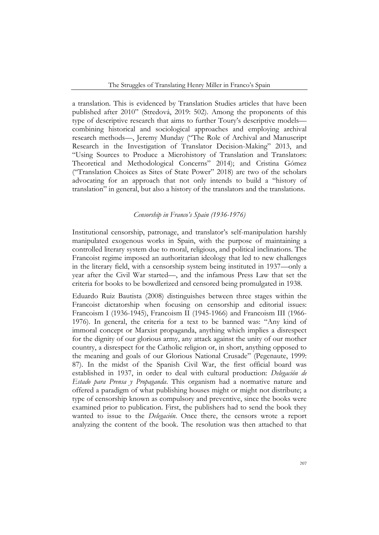a translation. This is evidenced by Translation Studies articles that have been published after 2010" (Stredová, 2019: 502). Among the proponents of this type of descriptive research that aims to further Toury's descriptive models combining historical and sociological approaches and employing archival research methods—, Jeremy Munday ("The Role of Archival and Manuscript Research in the Investigation of Translator Decision-Making" 2013, and "Using Sources to Produce a Microhistory of Translation and Translators: Theoretical and Methodological Concerns" 2014); and Cristina Gómez ("Translation Choices as Sites of State Power" 2018) are two of the scholars advocating for an approach that not only intends to build a "history of translation" in general, but also a history of the translators and the translations.

## *Censorship in Franco's Spain (1936-1976)*

Institutional censorship, patronage, and translator's self-manipulation harshly manipulated exogenous works in Spain, with the purpose of maintaining a controlled literary system due to moral, religious, and political inclinations. The Francoist regime imposed an authoritarian ideology that led to new challenges in the literary field, with a censorship system being instituted in 1937—only a year after the Civil War started—, and the infamous Press Law that set the criteria for books to be bowdlerized and censored being promulgated in 1938.

Eduardo Ruiz Bautista (2008) distinguishes between three stages within the Francoist dictatorship when focusing on censorship and editorial issues: Francoism I (1936-1945), Francoism II (1945-1966) and Francoism III (1966- 1976). In general, the criteria for a text to be banned was: "Any kind of immoral concept or Marxist propaganda, anything which implies a disrespect for the dignity of our glorious army, any attack against the unity of our mother country, a disrespect for the Catholic religion or, in short, anything opposed to the meaning and goals of our Glorious National Crusade" (Pegenaute, 1999: 87). In the midst of the Spanish Civil War, the first official board was established in 1937, in order to deal with cultural production: *Delegación de Estado para Prensa y Propaganda*. This organism had a normative nature and offered a paradigm of what publishing houses might or might not distribute; a type of censorship known as compulsory and preventive, since the books were examined prior to publication. First, the publishers had to send the book they wanted to issue to the *Delegación*. Once there, the censors wrote a report analyzing the content of the book. The resolution was then attached to that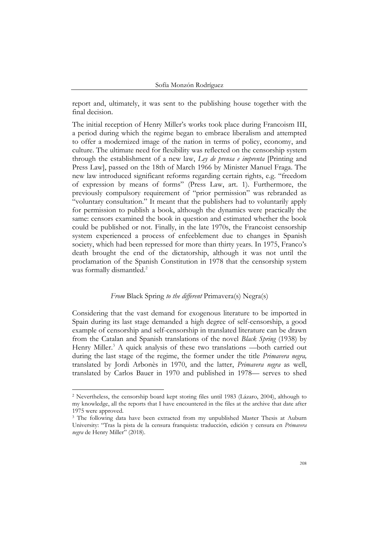report and, ultimately, it was sent to the publishing house together with the final decision.

The initial reception of Henry Miller's works took place during Francoism III, a period during which the regime began to embrace liberalism and attempted to offer a modernized image of the nation in terms of policy, economy, and culture. The ultimate need for flexibility was reflected on the censorship system through the establishment of a new law, *Ley de prensa e imprenta* [Printing and Press Law], passed on the 18th of March 1966 by Minister Manuel Fraga. The new law introduced significant reforms regarding certain rights, e.g. "freedom of expression by means of forms" (Press Law, art. 1). Furthermore, the previously compulsory requirement of "prior permission" was rebranded as "voluntary consultation." It meant that the publishers had to voluntarily apply for permission to publish a book, although the dynamics were practically the same: censors examined the book in question and estimated whether the book could be published or not. Finally, in the late 1970s, the Francoist censorship system experienced a process of enfeeblement due to changes in Spanish society, which had been repressed for more than thirty years. In 1975, Franco's death brought the end of the dictatorship, although it was not until the proclamation of the Spanish Constitution in 1978 that the censorship system was formally dismantled.<sup>2</sup>

#### *From* Black Spring *to the different* Primavera(s) Negra(s)

Considering that the vast demand for exogenous literature to be imported in Spain during its last stage demanded a high degree of self-censorship, a good example of censorship and self-censorship in translated literature can be drawn from the Catalan and Spanish translations of the novel *Black Spring* (1938) by Henry Miller.<sup>3</sup> A quick analysis of these two translations —both carried out during the last stage of the regime, the former under the title *Primavera negra,*  translated by Jordi Arbonès in 1970, and the latter, *Primavera negra* as well, translated by Carlos Bauer in 1970 and published in 1978— serves to shed

<sup>2</sup> Nevertheless, the censorship board kept storing files until 1983 (Lázaro, 2004), although to my knowledge, all the reports that I have encountered in the files at the archive that date after 1975 were approved.

<sup>&</sup>lt;sup>3</sup> The following data have been extracted from my unpublished Master Thesis at Auburn University: "Tras la pista de la censura franquista: traducción, edición y censura en *Primavera negra* de Henry Miller" (2018).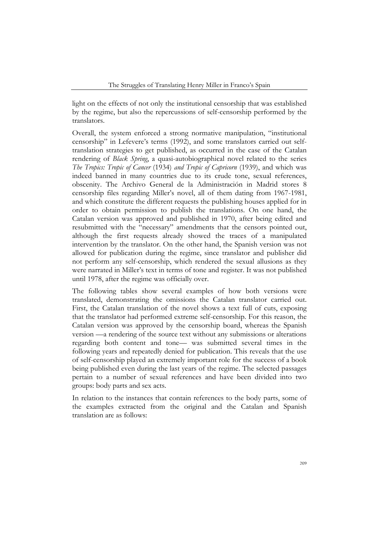light on the effects of not only the institutional censorship that was established by the regime, but also the repercussions of self-censorship performed by the translators.

Overall, the system enforced a strong normative manipulation, "institutional censorship" in Lefevere's terms (1992), and some translators carried out selftranslation strategies to get published, as occurred in the case of the Catalan rendering of *Black Spring*, a quasi-autobiographical novel related to the series *The Tropics: Tropic of Cancer* (1934) *and Tropic of Capricorn* (1939), and which was indeed banned in many countries due to its crude tone, sexual references, obscenity. The Archivo General de la Administración in Madrid stores 8 censorship files regarding Miller's novel, all of them dating from 1967-1981, and which constitute the different requests the publishing houses applied for in order to obtain permission to publish the translations. On one hand, the Catalan version was approved and published in 1970, after being edited and resubmitted with the "necessary" amendments that the censors pointed out, although the first requests already showed the traces of a manipulated intervention by the translator. On the other hand, the Spanish version was not allowed for publication during the regime, since translator and publisher did not perform any self-censorship, which rendered the sexual allusions as they were narrated in Miller's text in terms of tone and register. It was not published until 1978, after the regime was officially over.

The following tables show several examples of how both versions were translated, demonstrating the omissions the Catalan translator carried out. First, the Catalan translation of the novel shows a text full of cuts, exposing that the translator had performed extreme self-censorship. For this reason, the Catalan version was approved by the censorship board, whereas the Spanish version —a rendering of the source text without any submissions or alterations regarding both content and tone— was submitted several times in the following years and repeatedly denied for publication. This reveals that the use of self-censorship played an extremely important role for the success of a book being published even during the last years of the regime. The selected passages pertain to a number of sexual references and have been divided into two groups: body parts and sex acts.

In relation to the instances that contain references to the body parts, some of the examples extracted from the original and the Catalan and Spanish translation are as follows: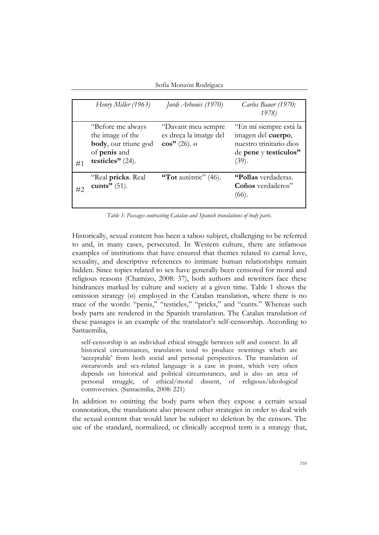Sofía Monzón Rodríguez

|    | Henry Miller (1963)                                                                                          | Jordi Arbonès (1970)                                                         | Carlos Bauer (1970;<br>1978)                                                                              |
|----|--------------------------------------------------------------------------------------------------------------|------------------------------------------------------------------------------|-----------------------------------------------------------------------------------------------------------|
| #1 | "Before me always"<br>the image of the<br>body, our triune god<br>of <b>penis</b> and<br>testicles" $(24)$ . | "Davant meu sempre<br>es dreça la imatge del<br>$\cos$ " (26). $\varnothing$ | "En mí siempre está la<br>imagen del cuerpo,<br>nuestro trinitario dios<br>de pene y testículos"<br>(39). |
| #2 | "Real pricks. Real<br>cunts" $(51)$ .                                                                        | "Tot autentic" $(46)$ .                                                      | "Pollas verdaderas.<br>Coños verdaderos"<br>(66).                                                         |

*Table 1: Passages contrasting Catalan and Spanish translations of body parts.* 

Historically, sexual content has been a taboo subject, challenging to be referred to and, in many cases, persecuted. In Western culture, there are infamous examples of institutions that have ensured that themes related to carnal love, sexuality, and descriptive references to intimate human relationships remain hidden. Since topics related to sex have generally been censored for moral and religious reasons (Chamizo, 2008: 37), both authors and rewriters face these hindrances marked by culture and society at a given time. Table 1 shows the omission strategy (ø) employed in the Catalan translation, where there is no trace of the words: "penis," "testicles," "pricks," and "cunts." Whereas such body parts are rendered in the Spanish translation. The Catalan translation of these passages is an example of the translator's self-censorship. According to Santaemilia,

self-censorship is an individual ethical struggle between self and context. In all historical circumstances, translators tend to produce rewritings which are 'acceptable' from both social and personal perspectives. The translation of swearwords and sex-related language is a case in point, which very often depends on historical and political circumstances, and is also an area of personal struggle, of ethical/moral dissent, of religious/ideological controversies. (Santaemilia, 2008: 221)

In addition to omitting the body parts when they expose a certain sexual connotation, the translations also present other strategies in order to deal with the sexual content that would later be subject to deletion by the censors. The use of the standard, normalized, or clinically accepted term is a strategy that,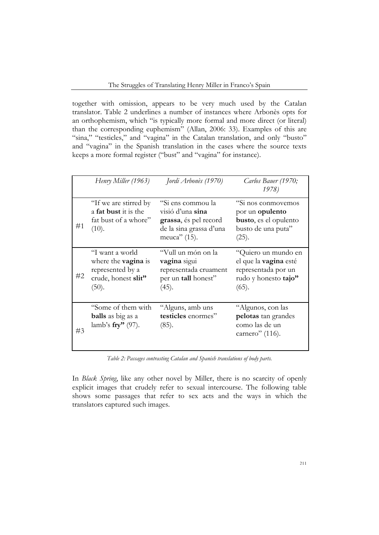together with omission, appears to be very much used by the Catalan translator. Table 2 underlines a number of instances where Arbonès opts for an orthophemism, which "is typically more formal and more direct (or literal) than the corresponding euphemism" (Allan, 2006: 33). Examples of this are "sina," "testicles," and "vagina" in the Catalan translation, and only "busto" and "vagina" in the Spanish translation in the cases where the source texts keeps a more formal register ("bust" and "vagina" for instance).

|    | Henry Miller (1963)                                                                               | Jordi Arbonès (1970)                                                                                         | Carlos Bauer (1970;<br>1978)                                                                                 |
|----|---------------------------------------------------------------------------------------------------|--------------------------------------------------------------------------------------------------------------|--------------------------------------------------------------------------------------------------------------|
| #1 | "If we are stirred by<br>a <b>fat bust</b> it is the<br>fat bust of a whore"<br>(10).             | "Si ens commou la<br>visió d'una sina<br>grassa, és pel record<br>de la sina grassa d'una<br>meuca" $(15)$ . | "Si nos conmovemos<br>por un <b>opulento</b><br><b>busto</b> , es el opulento<br>busto de una puta"<br>(25). |
| #2 | "I want a world<br>where the <b>vagina</b> is<br>represented by a<br>crude, honest slit"<br>(50). | "Vull un món on la<br>vagina sigui<br>representada cruament<br>per un tall honest"<br>(45).                  | "Quiero un mundo en<br>el que la <b>vagina</b> esté<br>representada por un<br>rudo y honesto tajo"<br>(65).  |
| #3 | "Some of them with"<br><b>balls</b> as big as a<br>lamb's $\mathbf{fry}$ " (97).                  | "Alguns, amb uns<br>testicles enormes"<br>(85).                                                              | "Algunos, con las<br>pelotas tan grandes<br>como las de un<br>carnero" $(116)$ .                             |

*Table 2: Passages contrasting Catalan and Spanish translations of body parts.*

In *Black Spring*, like any other novel by Miller, there is no scarcity of openly explicit images that crudely refer to sexual intercourse. The following table shows some passages that refer to sex acts and the ways in which the translators captured such images.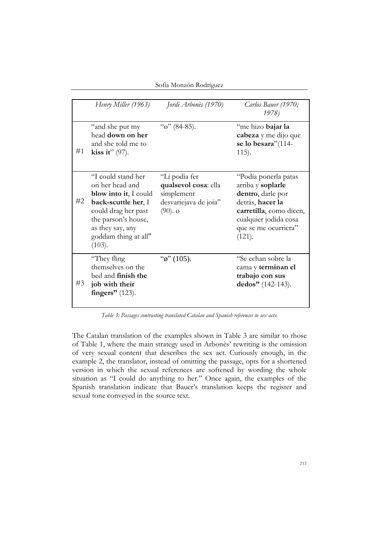Sofía Monzón Rodríguez

|    | Henry Miller (1963)                                                                                                                                                                              | Jordi Arbonès (1970)                                                                                   | Carlos Bauer (1970;<br>1978)                                                                                                                                             |
|----|--------------------------------------------------------------------------------------------------------------------------------------------------------------------------------------------------|--------------------------------------------------------------------------------------------------------|--------------------------------------------------------------------------------------------------------------------------------------------------------------------------|
| #1 | "and she put my<br>head down on her<br>and she told me to<br>kiss it" $(97)$ .                                                                                                                   | " $\sigma$ " (84-85).                                                                                  | "me hizo bajar la<br>cabeza y me dijo que<br>se lo besara"(114-<br>$115$ ).                                                                                              |
| #2 | "I could stand her<br>on her head and<br><b>blow into it, I could</b><br>back-scuttle her, I<br>could drag her past<br>the parson's house,<br>as they say, any<br>goddam thing at all"<br>(103). | "Li podia fer<br>qualsevol cosa: ella<br>simplement<br>desvariejava de joia"<br>$(90)$ . $\varnothing$ | "Podía ponerla patas<br>arriba y soplarle<br>dentro, darle por<br>detrás, hacer la<br>carretilla, como dicen,<br>cualquier jodida cosa<br>que se me ocurriera"<br>(121). |
| #3 | "They fling"<br>themselves on the<br>bed and <b>finish the</b><br>job with their<br>fingers" $(123)$ .                                                                                           | " $\phi$ " (105).                                                                                      | "Se echan sobre la<br>cama y terminan el<br>trabajo con sus<br>dedos" $(142-143)$ .                                                                                      |

*Table 3: Passages contrasting translated Catalan and Spanish references to sex acts.*

The Catalan translation of the examples shown in Table 3 are similar to those of Table 1, where the main strategy used in Arbonès' rewriting is the omission of very sexual content that describes the sex act. Curiously enough, in the example 2, the translator, instead of omitting the passage, opts for a shortened version in which the sexual references are softened by wording the whole situation as "I could do anything to her." Once again, the examples of the Spanish translation indicate that Bauer's translation keeps the register and sexual tone conveyed in the source text.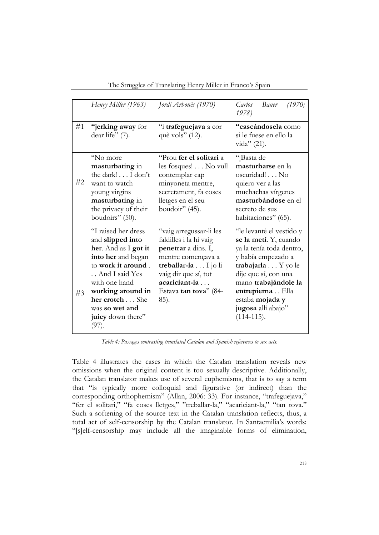|    | Henry Miller (1963)                                                                                                                                                                                                                   | Jordi Arbonès (1970)                                                                                                                                                                             | Carlos<br>Bauer<br>1970;<br>1978)                                                                                                                                                                                                                      |
|----|---------------------------------------------------------------------------------------------------------------------------------------------------------------------------------------------------------------------------------------|--------------------------------------------------------------------------------------------------------------------------------------------------------------------------------------------------|--------------------------------------------------------------------------------------------------------------------------------------------------------------------------------------------------------------------------------------------------------|
| #1 | "jerking away for<br>dear life" (7).                                                                                                                                                                                                  | "i trafeguejava a cor<br>què vols" (12).                                                                                                                                                         | "cascándosela como<br>si le fuese en ello la<br>vida" $(21)$ .                                                                                                                                                                                         |
| #2 | "No more<br>masturbating in<br>the dark! I don't<br>want to watch<br>young virgins<br>masturbating in<br>the privacy of their<br>boudoirs" (50).                                                                                      | "Prou fer el solitari a<br>les fosques! No vull<br>contemplar cap<br>minyoneta mentre,<br>secretament, fa coses<br>lletges en el seu<br>boudoir" $(45)$ .                                        | "¡Basta de<br>masturbarse en la<br>oscuridad! No<br>quiero ver a las<br>muchachas vírgenes<br>masturbándose en el<br>secreto de sus<br>habitaciones" (65).                                                                                             |
| #3 | "I raised her dress<br>and slipped into<br>her. And as I got it<br>into her and began<br>to work it around.<br>And I said Yes<br>with one hand<br>working around in<br>her crotch She<br>was so wet and<br>juicy down there"<br>(97). | "vaig arregussar-li les<br>faldilles i la hi vaig<br>penetrar a dins. I,<br>mentre començava a<br>treballar-la I jo li<br>vaig dir que sí, tot<br>acariciant-la<br>Estava tan tova" (84-<br>85). | "le levanté el vestido y<br>se la metí. Y, cuando<br>ya la tenía toda dentro,<br>y había empezado a<br>trabajarla Y yo le<br>dije que sí, con una<br>mano trabajándole la<br>entrepierna Ella<br>estaba mojada y<br>jugosa allí abajo"<br>$(114-115).$ |

The Struggles of Translating Henry Miller in Franco's Spain

*Table 4: Passages contrasting translated Catalan and Spanish references to sex acts.*

Table 4 illustrates the cases in which the Catalan translation reveals new omissions when the original content is too sexually descriptive. Additionally, the Catalan translator makes use of several euphemisms, that is to say a term that "is typically more colloquial and figurative (or indirect) than the corresponding orthophemism" (Allan, 2006: 33). For instance, "trafeguejava," "fer el solitari," "fa coses lletges," "treballar-la," "acariciant-la," "tan tova." Such a softening of the source text in the Catalan translation reflects, thus, a total act of self-censorship by the Catalan translator. In Santaemilia's words: "[s]elf-censorship may include all the imaginable forms of elimination,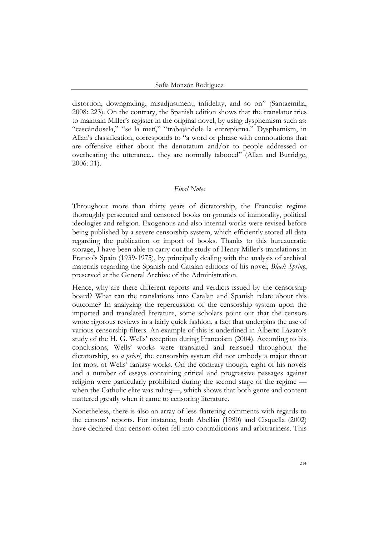distortion, downgrading, misadjustment, infidelity, and so on" (Santaemilia, 2008: 223). On the contrary, the Spanish edition shows that the translator tries to maintain Miller's register in the original novel, by using dysphemism such as: "cascándosela," "se la metí," "trabajándole la entrepierna." Dysphemism, in Allan's classification, corresponds to "a word or phrase with connotations that are offensive either about the denotatum and/or to people addressed or overhearing the utterance... they are normally tabooed" (Allan and Burridge, 2006: 31).

#### *Final Notes*

Throughout more than thirty years of dictatorship, the Francoist regime thoroughly persecuted and censored books on grounds of immorality, political ideologies and religion. Exogenous and also internal works were revised before being published by a severe censorship system, which efficiently stored all data regarding the publication or import of books. Thanks to this bureaucratic storage, I have been able to carry out the study of Henry Miller's translations in Franco's Spain (1939-1975), by principally dealing with the analysis of archival materials regarding the Spanish and Catalan editions of his novel, *Black Spring*, preserved at the General Archive of the Administration.

Hence, why are there different reports and verdicts issued by the censorship board? What can the translations into Catalan and Spanish relate about this outcome? In analyzing the repercussion of the censorship system upon the imported and translated literature, some scholars point out that the censors wrote rigorous reviews in a fairly quick fashion, a fact that underpins the use of various censorship filters. An example of this is underlined in Alberto Lázaro's study of the H. G. Wells' reception during Francoism (2004). According to his conclusions, Wells' works were translated and reissued throughout the dictatorship, so *a priori*, the censorship system did not embody a major threat for most of Wells' fantasy works. On the contrary though, eight of his novels and a number of essays containing critical and progressive passages against religion were particularly prohibited during the second stage of the regime when the Catholic elite was ruling—, which shows that both genre and content mattered greatly when it came to censoring literature.

Nonetheless, there is also an array of less flattering comments with regards to the censors' reports. For instance, both Abellán (1980) and Cisquella (2002) have declared that censors often fell into contradictions and arbitrariness. This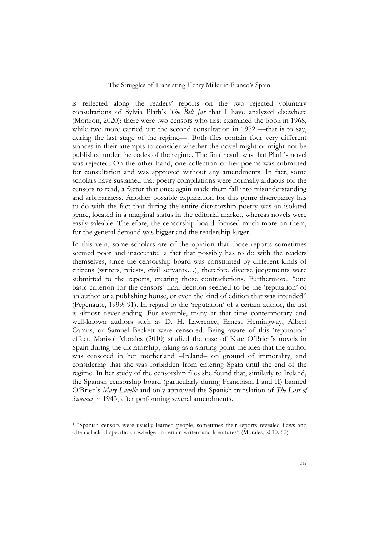is reflected along the readers' reports on the two rejected voluntary consultations of Sylvia Plath's *The Bell Jar* that I have analyzed elsewhere (Monzón, 2020): there were two censors who first examined the book in 1968, while two more carried out the second consultation in 1972 —that is to say, during the last stage of the regime—. Both files contain four very different stances in their attempts to consider whether the novel might or might not be published under the codes of the regime. The final result was that Plath's novel was rejected. On the other hand, one collection of her poems was submitted for consultation and was approved without any amendments. In fact, some scholars have sustained that poetry compilations were normally arduous for the censors to read, a factor that once again made them fall into misunderstanding and arbitrariness. Another possible explanation for this genre discrepancy has to do with the fact that during the entire dictatorship poetry was an isolated genre, located in a marginal status in the editorial market, whereas novels were easily saleable. Therefore, the censorship board focused much more on them, for the general demand was bigger and the readership larger.

In this vein, some scholars are of the opinion that those reports sometimes seemed poor and inaccurate,<sup>4</sup> a fact that possibly has to do with the readers themselves, since the censorship board was constituted by different kinds of citizens (writers, priests, civil servants…), therefore diverse judgements were submitted to the reports, creating those contradictions. Furthermore, "one basic criterion for the censors' final decision seemed to be the 'reputation' of an author or a publishing house, or even the kind of edition that was intended" (Pegenaute, 1999: 91). In regard to the 'reputation' of a certain author, the list is almost never-ending. For example, many at that time contemporary and well-known authors such as D. H. Lawrence, Ernest Hemingway, Albert Camus, or Samuel Beckett were censored. Being aware of this 'reputation' effect, Marisol Morales (2010) studied the case of Kate O'Brien's novels in Spain during the dictatorship, taking as a starting point the idea that the author was censored in her motherland –Ireland– on ground of immorality, and considering that she was forbidden from entering Spain until the end of the regime. In her study of the censorship files she found that, similarly to Ireland, the Spanish censorship board (particularly during Francoism I and II) banned O'Brien's *Mary Lavelle* and only approved the Spanish translation of *The Last of Summer* in 1943, after performing several amendments.

<sup>4</sup> "Spanish censors were usually learned people, sometimes their reports revealed flaws and often a lack of specific knowledge on certain writers and literatures" (Morales, 2010: 62).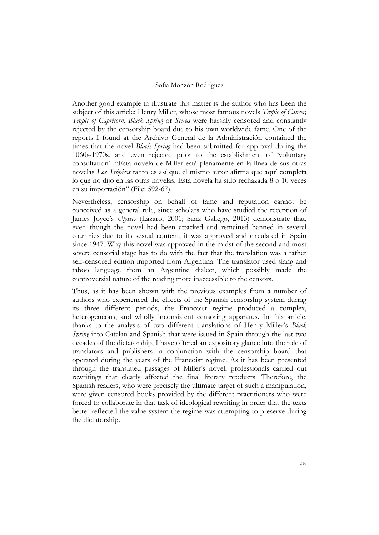Another good example to illustrate this matter is the author who has been the subject of this article: Henry Miller, whose most famous novels *Tropic of Cancer, Tropic of Capricorn, Black Spring* or *Sexus* were harshly censored and constantly rejected by the censorship board due to his own worldwide fame. One of the reports I found at the Archivo General de la Administración contained the times that the novel *Black Spring* had been submitted for approval during the 1060s-1970s, and even rejected prior to the establishment of 'voluntary consultation': "Esta novela de Miller está plenamente en la línea de sus otras novelas *Los Trópicos* tanto es así que el mismo autor afirma que aquí completa lo que no dijo en las otras novelas. Esta novela ha sido rechazada 8 o 10 veces en su importación" (File: 592-67).

Nevertheless, censorship on behalf of fame and reputation cannot be conceived as a general rule, since scholars who have studied the reception of James Joyce's *Ulysses* (Lázaro, 2001; Sanz Gallego, 2013) demonstrate that, even though the novel had been attacked and remained banned in several countries due to its sexual content, it was approved and circulated in Spain since 1947. Why this novel was approved in the midst of the second and most severe censorial stage has to do with the fact that the translation was a rather self-censored edition imported from Argentina. The translator used slang and taboo language from an Argentine dialect, which possibly made the controversial nature of the reading more inaccessible to the censors.

Thus, as it has been shown with the previous examples from a number of authors who experienced the effects of the Spanish censorship system during its three different periods, the Francoist regime produced a complex, heterogeneous, and wholly inconsistent censoring apparatus. In this article, thanks to the analysis of two different translations of Henry Miller's *Black Spring* into Catalan and Spanish that were issued in Spain through the last two decades of the dictatorship, I have offered an expository glance into the role of translators and publishers in conjunction with the censorship board that operated during the years of the Francoist regime. As it has been presented through the translated passages of Miller's novel, professionals carried out rewritings that clearly affected the final literary products. Therefore, the Spanish readers, who were precisely the ultimate target of such a manipulation, were given censored books provided by the different practitioners who were forced to collaborate in that task of ideological rewriting in order that the texts better reflected the value system the regime was attempting to preserve during the dictatorship.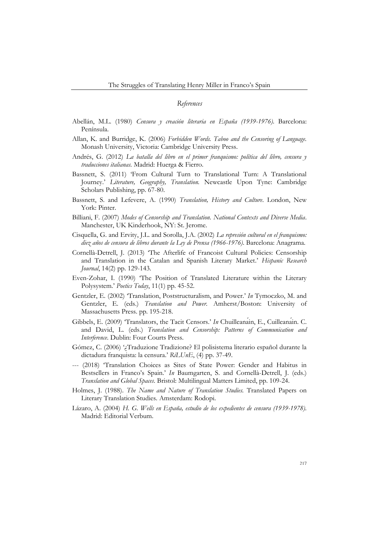#### *References*

- Abellán, M.L. (1980) *Censura y creación literaria en España (1939-1976)*. Barcelona: Península.
- Allan, K. and Burridge, K. (2006) *Forbidden Words. Taboo and the Censoring of Language.*  Monash University, Victoria: Cambridge University Press.
- Andrés, G. (2012) *La batalla del libro en el primer franquismo: política del libro, censura y traducciones italianas.* Madrid: Huerga & Fierro.
- Bassnett, S. (2011) 'From Cultural Turn to Translational Turn: A Translational Journey.' *Literature, Geography, Translation.* Newcastle Upon Tyne: Cambridge Scholars Publishing, pp. 67-80.
- Bassnett, S. and Lefevere, A. (1990) *Translation, History and Culture*. London, New York: Pinter.
- Billiani, F. (2007) *Modes of Censorship and Translation. National Contexts and Diverse Media*. Manchester, UK Kinderhook, NY: St. Jerome.
- Cisquella, G. and Ervity, J.L. and Sorolla, J.A. (2002) *La represión cultural en el franquismo: diez años de censura de libros durante la Ley de Prensa (1966-1976)*. Barcelona: Anagrama.
- Cornellà-Detrell, J. (2013) 'The Afterlife of Francoist Cultural Policies: Censorship and Translation in the Catalan and Spanish Literary Market.' *Hispanic Research Journal*, 14(2) pp. 129-143.
- Even-Zohar, I. (1990) 'The Position of Translated Literature within the Literary Polysystem.' *Poetics Today*, 11(1) pp. 45-52.
- Gentzler, E. (2002) 'Translation, Poststructuralism, and Power.' *In* Tymoczko, M. and Gentzler, E. (eds.) *Translation and Power.* Amherst/Boston: University of Massachusetts Press. pp. 195-218.
- Gibbels, E. (2009) 'Translators, the Tacit Censors.' *In* Chuilleanáin, E., Cuilleanáin. C. and David, L. (eds.) *Translation and Censorship: Patterns of Communication and Interference*. Dublin: Four Courts Press.
- Gómez, C. (2006) '¿Traduzione Tradizione? El polisistema literario español durante la dictadura franquista: la censura.' *RiLUnE*, (4) pp. 37-49.
- --- (2018) 'Translation Choices as Sites of State Power: Gender and Habitus in Bestsellers in Franco's Spain.' *In* Baumgarten, S. and Cornellà-Detrell, J. (eds.) *Translation and Global Spaces*. Bristol: Multilingual Matters Limited, pp. 109-24.
- Holmes, J. (1988). *The Name and Nature of Translation Studies.* Translated Papers on Literary Translation Studies. Amsterdam: Rodopi.
- Lázaro, A. (2004) *H. G. Wells en España, estudio de los expedientes de censura (1939-1978).*  Madrid: Editorial Verbum.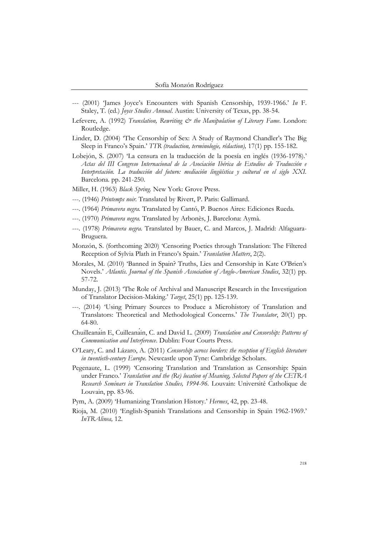- --- (2001) 'James Joyce's Encounters with Spanish Censorship, 1939-1966.' *In* F. Staley, T. (ed.) *Joyce Studies Annual*. Austin: University of Texas, pp. 38-54.
- Lefevere, A. (1992) *Translation, Rewriting & the Manipulation of Literary Fame*. London: Routledge.
- Linder, D. (2004) 'The Censorship of Sex: A Study of Raymond Chandler's The Big Sleep in Franco's Spain.' *TTR (traduction, terminologie, rédaction),* 17(1) pp. 155-182.
- Lobejón, S. (2007) 'La censura en la traducción de la poesía en inglés (1936-1978).' *Actas del III Congreso Internacional de la Asociación Ibérica de Estudios de Traducción e Interpretación. La traducción del futuro: mediación lingüística y cultural en el siglo XXI.* Barcelona*.* pp. 241-250.
- Miller, H. (1963) *Black Spring.* New York: Grove Press.
- ---. (1946) *Printemps noir.* Translated by Rivert, P. Paris: Gallimard.
- ---. (1964) *Primavera negra.* Translated by Cantó, P. Buenos Aires: Ediciones Rueda.
- ---. (1970) *Primavera negra.* Translated by Arbonès, J. Barcelona: Aymà.
- ---. (1978) *Primavera negra.* Translated by Bauer, C. and Marcos, J. Madrid: Alfaguara-Bruguera.
- Monzón, S. (forthcoming 2020) 'Censoring Poetics through Translation: The Filtered Reception of Sylvia Plath in Franco's Spain.' *Translation Matters*, 2(2).
- Morales, M. (2010) 'Banned in Spain? Truths, Lies and Censorship in Kate O'Brien's Novels.' *Atlantis. Journal of the Spanish Association of Anglo-American Studies*, 32(1) pp. 57-72.
- Munday, J. (2013) 'The Role of Archival and Manuscript Research in the Investigation of Translator Decision-Making.' *Target*, 25(1) pp. 125-139.
- ---. (2014) 'Using Primary Sources to Produce a Microhistory of Translation and Translators: Theoretical and Methodological Concerns.' *The Translator*, 20(1) pp. 64-80.
- Chuilleanáin E, Cuilleanáin, C. and David L. (2009) *Translation and Censorship: Patterns of Communication and Interference*. Dublin: Four Courts Press.
- O'Leary, C. and Lázaro, A. (2011) *Censorship across borders: the reception of English literature in twentieth-century Europe.* Newcastle upon Tyne: Cambridge Scholars.
- Pegenaute, L. (1999) 'Censoring Translation and Translation as Censorship: Spain under Franco.' *Translation and the (Re) location of Meaning, Selected Papers of the CETRA Research Seminars in Translation Studies, 1994-96.* Louvain: Université Catholique de Louvain, pp. 83-96.
- Pym, A. (2009) 'Humanizing Translation History.' *Hermes*, 42, pp. 23-48.
- Rioja, M. (2010) 'English-Spanish Translations and Censorship in Spain 1962-1969.' *InTRAlinea,* 12.